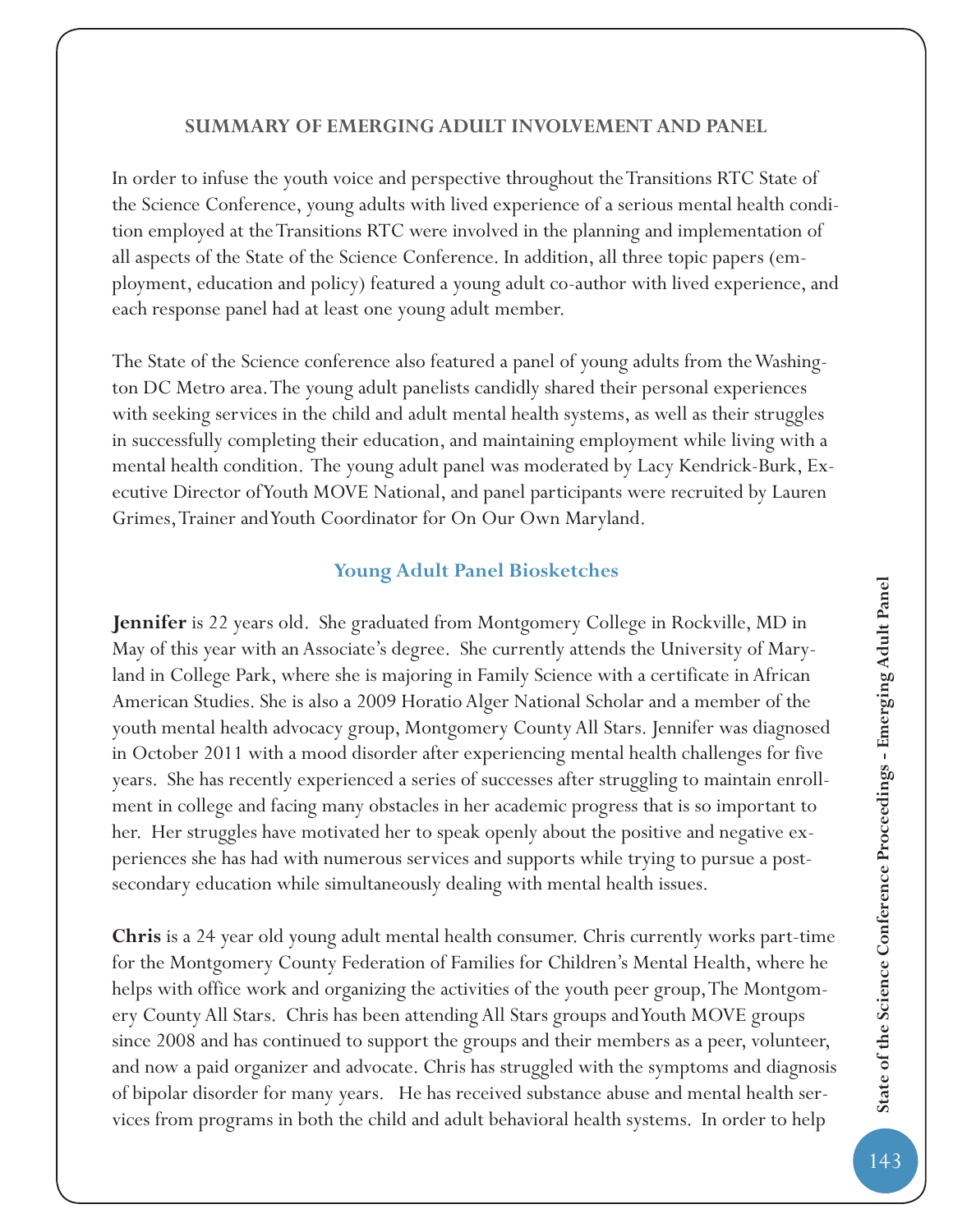## **SUMMARY OF EMERGING ADULT INVOLVEMENT AND PANEL**

In order to infuse the youth voice and perspective throughout the Transitions RTC State of the Science Conference, young adults with lived experience of a serious mental health condition employed at the Transitions RTC were involved in the planning and implementation of all aspects of the State of the Science Conference. In addition, all three topic papers (employment, education and policy) featured a young adult co-author with lived experience, and each response panel had at least one young adult member.

The State of the Science conference also featured a panel of young adults from the Washington DC Metro area. The young adult panelists candidly shared their personal experiences with seeking services in the child and adult mental health systems, as well as their struggles in successfully completing their education, and maintaining employment while living with a mental health condition. The young adult panel was moderated by Lacy Kendrick-Burk, Executive Director of Youth MOVE National, and panel participants were recruited by Lauren Grimes, Trainer and Youth Coordinator for On Our Own Maryland.

## **Young Adult Panel Biosketches**

**Jennifer** is 22 years old. She graduated from Montgomery College in Rockville, MD in May of this year with an Associate's degree. She currently attends the University of Maryland in College Park, where she is majoring in Family Science with a certificate in African American Studies. She is also a 2009 Horatio Alger National Scholar and a member of the youth mental health advocacy group, Montgomery County All Stars. Jennifer was diagnosed in October 2011 with a mood disorder after experiencing mental health challenges for five years. She has recently experienced a series of successes after struggling to maintain enrollment in college and facing many obstacles in her academic progress that is so important to her. Her struggles have motivated her to speak openly about the positive and negative experiences she has had with numerous services and supports while trying to pursue a postsecondary education while simultaneously dealing with mental health issues.

**Chris** is a 24 year old young adult mental health consumer. Chris currently works part-time for the Montgomery County Federation of Families for Children's Mental Health, where he helps with office work and organizing the activities of the youth peer group, The Montgomery County All Stars. Chris has been attending All Stars groups and Youth MOVE groups since 2008 and has continued to support the groups and their members as a peer, volunteer, and now a paid organizer and advocate. Chris has struggled with the symptoms and diagnosis of bipolar disorder for many years. He has received substance abuse and mental health services from programs in both the child and adult behavioral health systems. In order to help